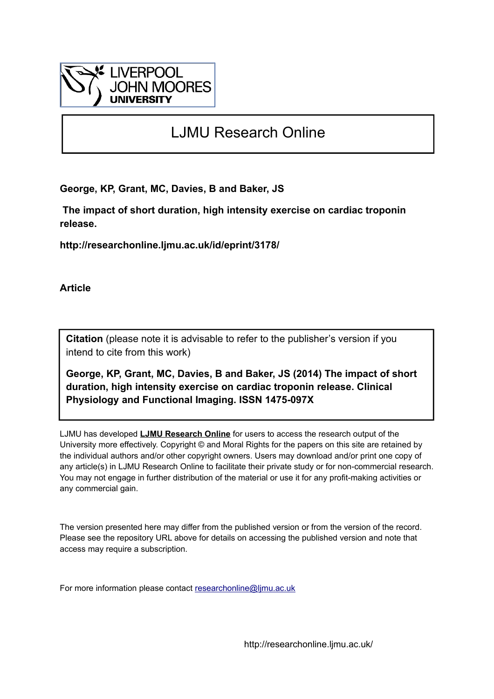

# LJMU Research Online

**George, KP, Grant, MC, Davies, B and Baker, JS**

 **The impact of short duration, high intensity exercise on cardiac troponin release.**

**http://researchonline.ljmu.ac.uk/id/eprint/3178/**

**Article**

**Citation** (please note it is advisable to refer to the publisher's version if you intend to cite from this work)

**George, KP, Grant, MC, Davies, B and Baker, JS (2014) The impact of short duration, high intensity exercise on cardiac troponin release. Clinical Physiology and Functional Imaging. ISSN 1475-097X** 

LJMU has developed **[LJMU Research Online](http://researchonline.ljmu.ac.uk/)** for users to access the research output of the University more effectively. Copyright © and Moral Rights for the papers on this site are retained by the individual authors and/or other copyright owners. Users may download and/or print one copy of any article(s) in LJMU Research Online to facilitate their private study or for non-commercial research. You may not engage in further distribution of the material or use it for any profit-making activities or any commercial gain.

The version presented here may differ from the published version or from the version of the record. Please see the repository URL above for details on accessing the published version and note that access may require a subscription.

For more information please contact [researchonline@ljmu.ac.uk](mailto:researchonline@ljmu.ac.uk)

http://researchonline.ljmu.ac.uk/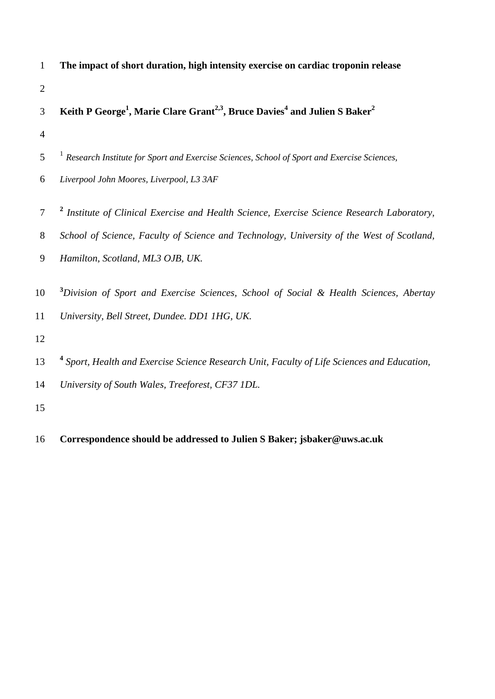| 1              | The impact of short duration, high intensity exercise on cardiac troponin release                                          |
|----------------|----------------------------------------------------------------------------------------------------------------------------|
| $\overline{2}$ |                                                                                                                            |
| 3              | Keith P George <sup>1</sup> , Marie Clare Grant <sup>2,3</sup> , Bruce Davies <sup>4</sup> and Julien S Baker <sup>2</sup> |
| $\overline{4}$ |                                                                                                                            |
| 5              | Research Institute for Sport and Exercise Sciences, School of Sport and Exercise Sciences,                                 |
| 6              | Liverpool John Moores, Liverpool, L3 3AF                                                                                   |
| 7              | <sup>2</sup> Institute of Clinical Exercise and Health Science, Exercise Science Research Laboratory,                      |
| 8              | School of Science, Faculty of Science and Technology, University of the West of Scotland,                                  |
| 9              | Hamilton, Scotland, ML3 OJB, UK.                                                                                           |
| 10             | <sup>3</sup> Division of Sport and Exercise Sciences, School of Social & Health Sciences, Abertay                          |
| 11             | University, Bell Street, Dundee. DD1 1HG, UK.                                                                              |
| 12             |                                                                                                                            |
| 13             | <sup>4</sup> Sport, Health and Exercise Science Research Unit, Faculty of Life Sciences and Education,                     |
| 14             | University of South Wales, Treeforest, CF37 1DL.                                                                           |
| 15             |                                                                                                                            |

**Correspondence should be addressed to Julien S Baker; jsbaker@uws.ac.uk**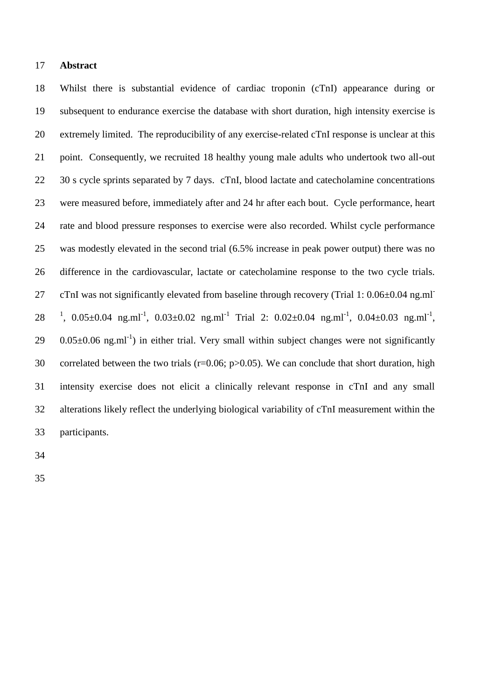## **Abstract**

 Whilst there is substantial evidence of cardiac troponin (cTnI) appearance during or subsequent to endurance exercise the database with short duration, high intensity exercise is extremely limited. The reproducibility of any exercise-related cTnI response is unclear at this point. Consequently, we recruited 18 healthy young male adults who undertook two all-out 22 30 s cycle sprints separated by 7 days. cTnI, blood lactate and catecholamine concentrations were measured before, immediately after and 24 hr after each bout. Cycle performance, heart rate and blood pressure responses to exercise were also recorded. Whilst cycle performance was modestly elevated in the second trial (6.5% increase in peak power output) there was no difference in the cardiovascular, lactate or catecholamine response to the two cycle trials. cTnI was not significantly elevated from baseline through recovery (Trial 1: 0.06±0.04 ng.ml- 28 <sup>1</sup>, 0.05 $\pm$ 0.04 ng.ml<sup>-1</sup>, 0.03 $\pm$ 0.02 ng.ml<sup>-1</sup> Trial 2: 0.02 $\pm$ 0.04 ng.ml<sup>-1</sup>, 0.04 $\pm$ 0.03 ng.ml<sup>-1</sup>, 0.05 $\pm$ 0.06 ng.ml<sup>-1</sup>) in either trial. Very small within subject changes were not significantly 30 correlated between the two trials ( $r=0.06$ ;  $p>0.05$ ). We can conclude that short duration, high intensity exercise does not elicit a clinically relevant response in cTnI and any small alterations likely reflect the underlying biological variability of cTnI measurement within the participants.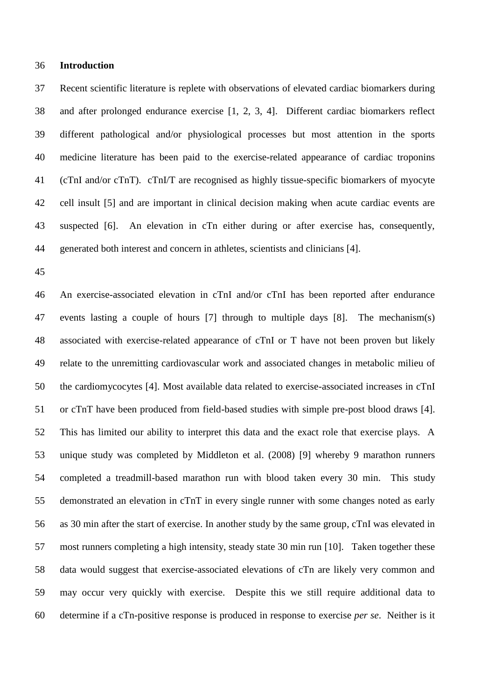### **Introduction**

 Recent scientific literature is replete with observations of elevated cardiac biomarkers during and after prolonged endurance exercise [1, 2, 3, 4]. Different cardiac biomarkers reflect different pathological and/or physiological processes but most attention in the sports medicine literature has been paid to the exercise-related appearance of cardiac troponins (cTnI and/or cTnT). cTnI/T are recognised as highly tissue-specific biomarkers of myocyte cell insult [5] and are important in clinical decision making when acute cardiac events are suspected [6]. An elevation in cTn either during or after exercise has, consequently, generated both interest and concern in athletes, scientists and clinicians [4].

 An exercise-associated elevation in cTnI and/or cTnI has been reported after endurance events lasting a couple of hours [7] through to multiple days [8]. The mechanism(s) associated with exercise-related appearance of cTnI or T have not been proven but likely relate to the unremitting cardiovascular work and associated changes in metabolic milieu of the cardiomycocytes [4]. Most available data related to exercise-associated increases in cTnI or cTnT have been produced from field-based studies with simple pre-post blood draws [4]. This has limited our ability to interpret this data and the exact role that exercise plays. A unique study was completed by Middleton et al. (2008) [9] whereby 9 marathon runners completed a treadmill-based marathon run with blood taken every 30 min. This study demonstrated an elevation in cTnT in every single runner with some changes noted as early as 30 min after the start of exercise. In another study by the same group, cTnI was elevated in most runners completing a high intensity, steady state 30 min run [10]. Taken together these data would suggest that exercise-associated elevations of cTn are likely very common and may occur very quickly with exercise. Despite this we still require additional data to determine if a cTn-positive response is produced in response to exercise *per se*. Neither is it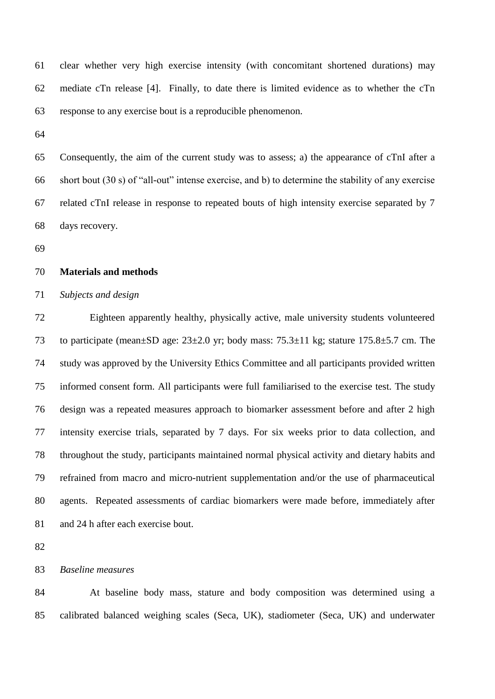clear whether very high exercise intensity (with concomitant shortened durations) may mediate cTn release [4]. Finally, to date there is limited evidence as to whether the cTn response to any exercise bout is a reproducible phenomenon.

 Consequently, the aim of the current study was to assess; a) the appearance of cTnI after a short bout (30 s) of "all-out" intense exercise, and b) to determine the stability of any exercise related cTnI release in response to repeated bouts of high intensity exercise separated by 7 days recovery.

## **Materials and methods**

# *Subjects and design*

 Eighteen apparently healthy, physically active, male university students volunteered to participate (mean±SD age: 23±2.0 yr; body mass: 75.3±11 kg; stature 175.8±5.7 cm. The study was approved by the University Ethics Committee and all participants provided written informed consent form. All participants were full familiarised to the exercise test. The study design was a repeated measures approach to biomarker assessment before and after 2 high intensity exercise trials, separated by 7 days. For six weeks prior to data collection, and throughout the study, participants maintained normal physical activity and dietary habits and refrained from macro and micro-nutrient supplementation and/or the use of pharmaceutical agents. Repeated assessments of cardiac biomarkers were made before, immediately after and 24 h after each exercise bout.

## *Baseline measures*

 At baseline body mass, stature and body composition was determined using a calibrated balanced weighing scales (Seca, UK), stadiometer (Seca, UK) and underwater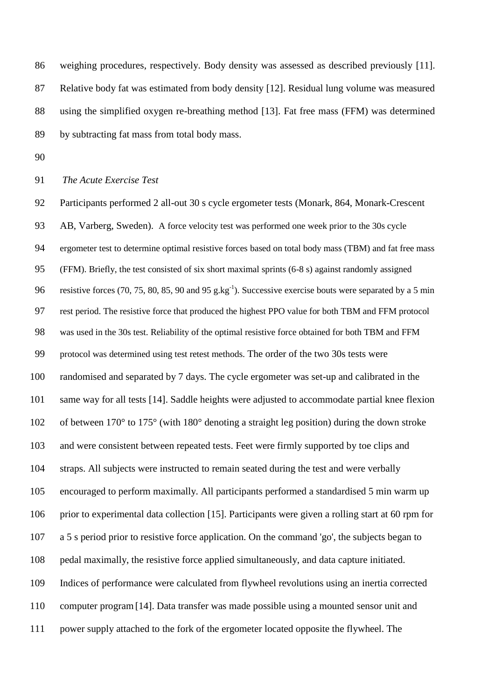weighing procedures, respectively. Body density was assessed as described previously [11]. Relative body fat was estimated from body density [12]. Residual lung volume was measured using the simplified oxygen re-breathing method [13]. Fat free mass (FFM) was determined by subtracting fat mass from total body mass.

# *The Acute Exercise Test*

 Participants performed 2 all-out 30 s cycle ergometer tests (Monark, 864, Monark-Crescent AB, Varberg, Sweden). A force velocity test was performed one week prior to the 30s cycle ergometer test to determine optimal resistive forces based on total body mass (TBM) and fat free mass (FFM). Briefly, the test consisted of six short maximal sprints (6-8 s) against randomly assigned 96 resistive forces (70, 75, 80, 85, 90 and 95 g.kg<sup>-1</sup>). Successive exercise bouts were separated by a 5 min rest period. The resistive force that produced the highest PPO value for both TBM and FFM protocol was used in the 30s test. Reliability of the optimal resistive force obtained for both TBM and FFM protocol was determined using test retest methods. The order of the two 30s tests were randomised and separated by 7 days. The cycle ergometer was set-up and calibrated in the same way for all tests [14]. Saddle heights were adjusted to accommodate partial knee flexion of between 170° to 175° (with 180° denoting a straight leg position) during the down stroke and were consistent between repeated tests. Feet were firmly supported by toe clips and straps. All subjects were instructed to remain seated during the test and were verbally encouraged to perform maximally. All participants performed a standardised 5 min warm up prior to experimental data collection [15]. Participants were given a rolling start at 60 rpm for a 5 s period prior to resistive force application. On the command 'go', the subjects began to pedal maximally, the resistive force applied simultaneously, and data capture initiated. Indices of performance were calculated from flywheel revolutions using an inertia corrected computer program[14]. Data transfer was made possible using a mounted sensor unit and power supply attached to the fork of the ergometer located opposite the flywheel. The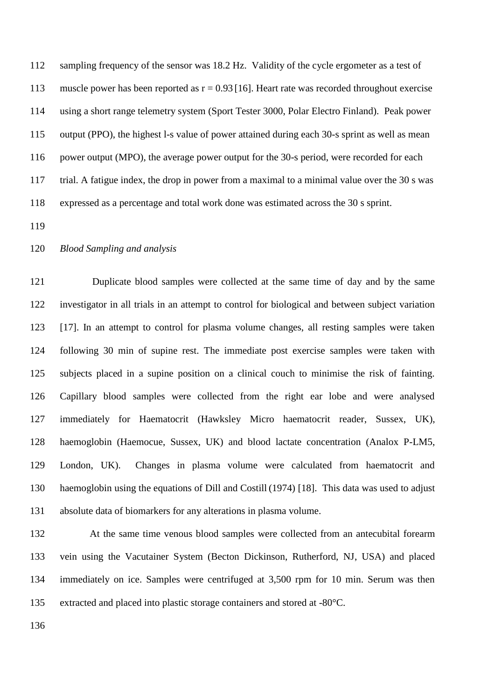sampling frequency of the sensor was 18.2 Hz. Validity of the cycle ergometer as a test of 113 muscle power has been reported as  $r = 0.93$  [16]. Heart rate was recorded throughout exercise using a short range telemetry system (Sport Tester 3000, Polar Electro Finland). Peak power output (PPO), the highest l-s value of power attained during each 30-s sprint as well as mean 116 power output (MPO), the average power output for the 30-s period, were recorded for each trial. A fatigue index, the drop in power from a maximal to a minimal value over the 30 s was expressed as a percentage and total work done was estimated across the 30 s sprint.

## *Blood Sampling and analysis*

 Duplicate blood samples were collected at the same time of day and by the same investigator in all trials in an attempt to control for biological and between subject variation [17]. In an attempt to control for plasma volume changes, all resting samples were taken following 30 min of supine rest. The immediate post exercise samples were taken with subjects placed in a supine position on a clinical couch to minimise the risk of fainting. Capillary blood samples were collected from the right ear lobe and were analysed immediately for Haematocrit (Hawksley Micro haematocrit reader, Sussex, UK), haemoglobin (Haemocue, Sussex, UK) and blood lactate concentration (Analox P-LM5, London, UK). Changes in plasma volume were calculated from haematocrit and haemoglobin using the equations of Dill and Costill (1974) [18]. This data was used to adjust absolute data of biomarkers for any alterations in plasma volume.

 At the same time venous blood samples were collected from an antecubital forearm vein using the Vacutainer System (Becton Dickinson, Rutherford, NJ, USA) and placed immediately on ice. Samples were centrifuged at 3,500 rpm for 10 min. Serum was then extracted and placed into plastic storage containers and stored at -80°C.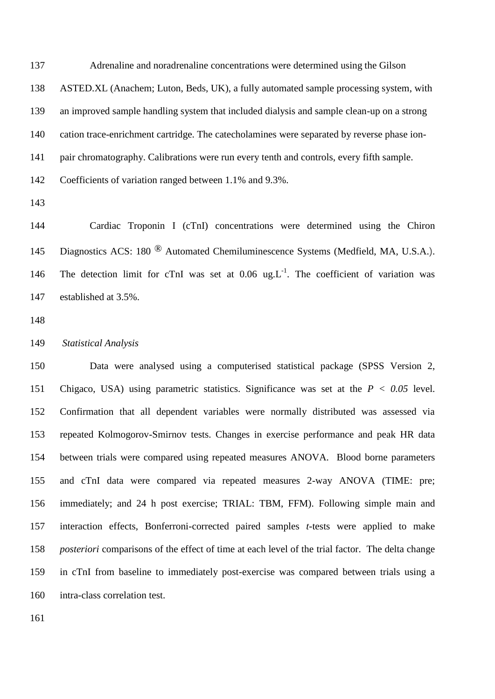Adrenaline and noradrenaline concentrations were determined using the Gilson

ASTED.XL (Anachem; Luton, Beds, UK), a fully automated sample processing system, with

an improved sample handling system that included dialysis and sample clean-up on a strong

cation trace-enrichment cartridge. The catecholamines were separated by reverse phase ion-

pair chromatography. Calibrations were run every tenth and controls, every fifth sample.

Coefficients of variation ranged between 1.1% and 9.3%.

 Cardiac Troponin I (cTnI) concentrations were determined using the Chiron 145 Diagnostics ACS: 180 <sup>®</sup> Automated Chemiluminescence Systems (Medfield, MA, U.S.A.). 146 The detection limit for cTnI was set at  $0.06 \text{ ug.}L^{-1}$ . The coefficient of variation was established at 3.5%.

#### *Statistical Analysis*

 Data were analysed using a computerised statistical package (SPSS Version 2, Chigaco, USA) using parametric statistics. Significance was set at the *P < 0.05* level. Confirmation that all dependent variables were normally distributed was assessed via repeated Kolmogorov-Smirnov tests. Changes in exercise performance and peak HR data between trials were compared using repeated measures ANOVA. Blood borne parameters and cTnI data were compared via repeated measures 2-way ANOVA (TIME: pre; immediately; and 24 h post exercise; TRIAL: TBM, FFM). Following simple main and interaction effects, Bonferroni-corrected paired samples *t*-tests were applied to make *posteriori* comparisons of the effect of time at each level of the trial factor. The delta change in cTnI from baseline to immediately post-exercise was compared between trials using a intra-class correlation test.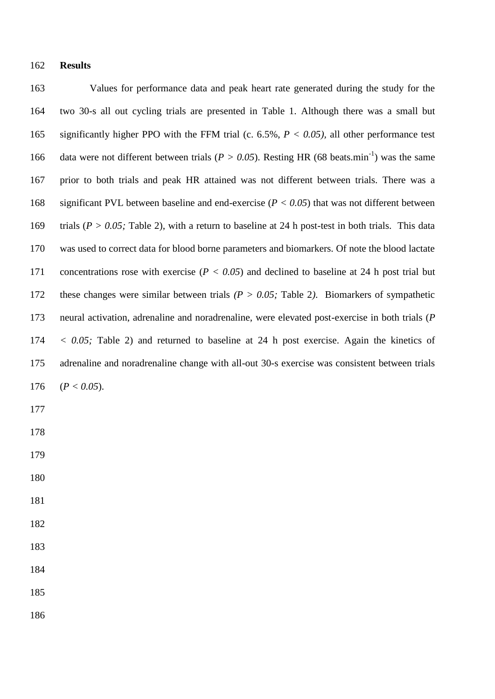## **Results**

 Values for performance data and peak heart rate generated during the study for the two 30-s all out cycling trials are presented in Table 1. Although there was a small but significantly higher PPO with the FFM trial (c. 6.5%, *P < 0.05),* all other performance test 166 data were not different between trials ( $P > 0.05$ ). Resting HR (68 beats.min<sup>-1</sup>) was the same prior to both trials and peak HR attained was not different between trials. There was a significant PVL between baseline and end-exercise (*P < 0.05*) that was not different between trials (*P > 0.05;* Table 2), with a return to baseline at 24 h post-test in both trials. This data was used to correct data for blood borne parameters and biomarkers. Of note the blood lactate concentrations rose with exercise (*P < 0.05*) and declined to baseline at 24 h post trial but these changes were similar between trials *(P > 0.05;* Table 2*)*. Biomarkers of sympathetic neural activation, adrenaline and noradrenaline, were elevated post-exercise in both trials (*P < 0.05;* Table 2) and returned to baseline at 24 h post exercise. Again the kinetics of adrenaline and noradrenaline change with all-out 30-s exercise was consistent between trials (*P < 0.05*).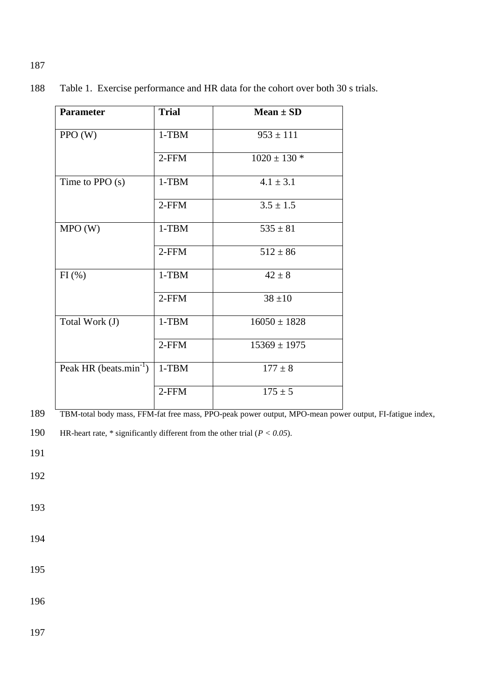| <b>Parameter</b>                   | <b>Trial</b> | Mean $\pm$ SD    |
|------------------------------------|--------------|------------------|
| PPO (W)                            | $1-TBM$      | $953 \pm 111$    |
|                                    | 2-FFM        | $1020 \pm 130$ * |
| Time to PPO $(s)$                  | $1-TBM$      | $4.1 \pm 3.1$    |
|                                    | 2-FFM        | $3.5 \pm 1.5$    |
| MPO(W)                             | $1-TBM$      | $535 \pm 81$     |
|                                    | 2-FFM        | $512 \pm 86$     |
| FI(%)                              | $1-TBM$      | $42 \pm 8$       |
|                                    | $2$ -FFM     | $38 \pm 10$      |
| Total Work (J)                     | $1-TBM$      | $16050 \pm 1828$ |
|                                    | 2-FFM        | $15369 \pm 1975$ |
| Peak HR (beats.min <sup>-1</sup> ) | $1-TBM$      | $177 \pm 8$      |
|                                    | 2-FFM        | $175 \pm 5$      |

188 Table 1. Exercise performance and HR data for the cohort over both 30 s trials.

189 TBM-total body mass, FFM-fat free mass, PPO-peak power output, MPO-mean power output, FI-fatigue index,

191

192

193

- 194
- 195

196

197

<sup>190</sup> HR-heart rate, \* significantly different from the other trial (*P < 0.05*).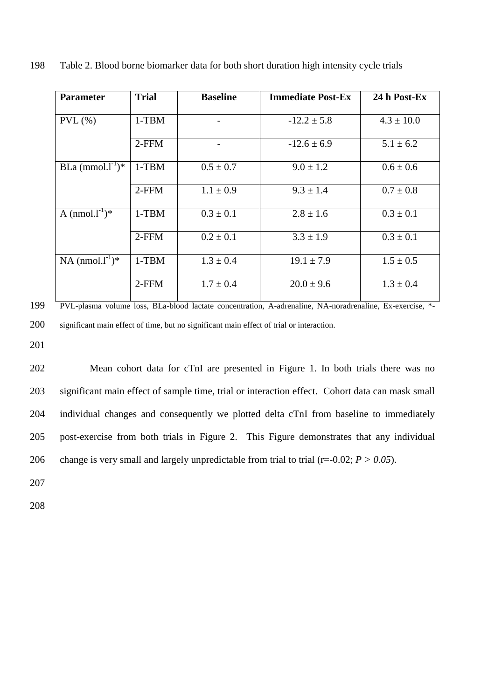| <b>Parameter</b>      | <b>Trial</b> | <b>Baseline</b> | <b>Immediate Post-Ex</b> | 24 h Post-Ex   |
|-----------------------|--------------|-----------------|--------------------------|----------------|
|                       |              |                 |                          |                |
| $PVL$ (%)             | $1-TBM$      |                 | $-12.2 \pm 5.8$          | $4.3 \pm 10.0$ |
|                       | $2$ -FFM     |                 | $-12.6 \pm 6.9$          | $5.1 \pm 6.2$  |
| BLa $(mmol.1^{-1})^*$ | $1-TBM$      | $0.5 \pm 0.7$   | $9.0 \pm 1.2$            | $0.6 \pm 0.6$  |
|                       | $2$ -FFM     | $1.1 \pm 0.9$   | $9.3 \pm 1.4$            | $0.7 \pm 0.8$  |
| A $(mmol.1^{-1})^*$   | $1-TBM$      | $0.3 \pm 0.1$   | $2.8 \pm 1.6$            | $0.3 \pm 0.1$  |
|                       | $2$ -FFM     | $0.2 \pm 0.1$   | $3.3 \pm 1.9$            | $0.3 \pm 0.1$  |
| NA $(mmol.1^{-1})^*$  | $1-TBM$      | $1.3 \pm 0.4$   | $19.1 \pm 7.9$           | $1.5 \pm 0.5$  |
|                       | $2$ -FFM     | $1.7 \pm 0.4$   | $20.0 \pm 9.6$           | $1.3 \pm 0.4$  |

198 Table 2. Blood borne biomarker data for both short duration high intensity cycle trials

199 PVL-plasma volume loss, BLa-blood lactate concentration, A-adrenaline, NA-noradrenaline, Ex-exercise, \*- 200 significant main effect of time, but no significant main effect of trial or interaction.

201

 Mean cohort data for cTnI are presented in Figure 1. In both trials there was no significant main effect of sample time, trial or interaction effect. Cohort data can mask small individual changes and consequently we plotted delta cTnI from baseline to immediately post-exercise from both trials in Figure 2. This Figure demonstrates that any individual 206 change is very small and largely unpredictable from trial to trial  $(r=0.02; P > 0.05)$ .

207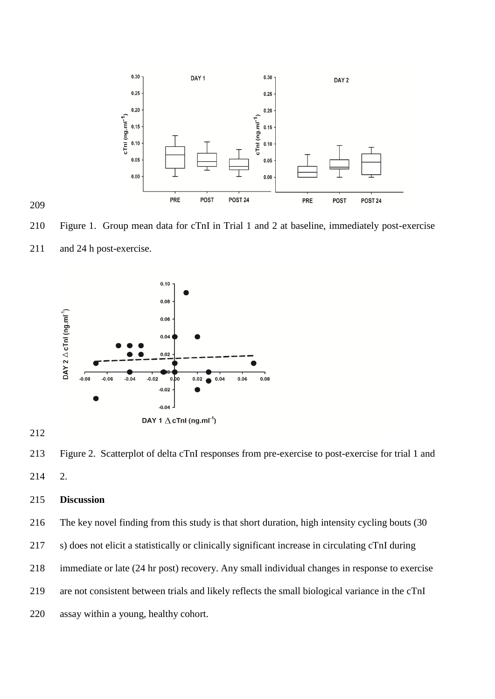

 Figure 1. Group mean data for cTnI in Trial 1 and 2 at baseline, immediately post-exercise 211 and 24 h post-exercise.



 Figure 2. Scatterplot of delta cTnI responses from pre-exercise to post-exercise for trial 1 and 2.

# **Discussion**

The key novel finding from this study is that short duration, high intensity cycling bouts (30

- s) does not elicit a statistically or clinically significant increase in circulating cTnI during
- immediate or late (24 hr post) recovery. Any small individual changes in response to exercise
- are not consistent between trials and likely reflects the small biological variance in the cTnI
- assay within a young, healthy cohort.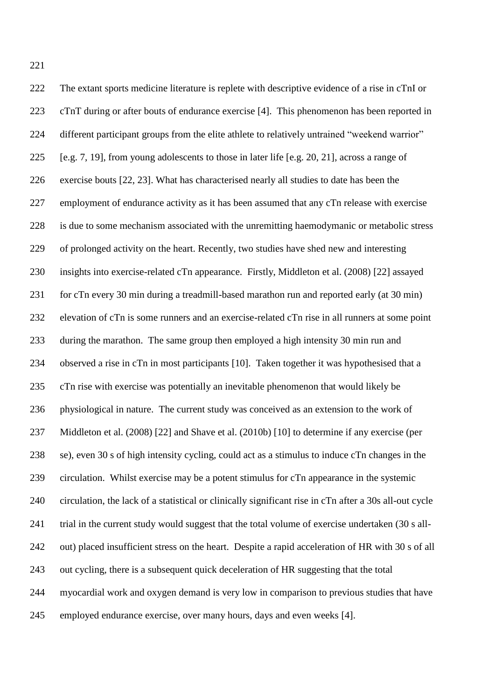The extant sports medicine literature is replete with descriptive evidence of a rise in cTnI or cTnT during or after bouts of endurance exercise [4]. This phenomenon has been reported in 224 different participant groups from the elite athlete to relatively untrained "weekend warrior" [e.g. 7, 19], from young adolescents to those in later life [e.g. 20, 21], across a range of exercise bouts [22, 23]. What has characterised nearly all studies to date has been the employment of endurance activity as it has been assumed that any cTn release with exercise is due to some mechanism associated with the unremitting haemodymanic or metabolic stress of prolonged activity on the heart. Recently, two studies have shed new and interesting insights into exercise-related cTn appearance. Firstly, Middleton et al. (2008) [22] assayed for cTn every 30 min during a treadmill-based marathon run and reported early (at 30 min) elevation of cTn is some runners and an exercise-related cTn rise in all runners at some point during the marathon. The same group then employed a high intensity 30 min run and observed a rise in cTn in most participants [10]. Taken together it was hypothesised that a cTn rise with exercise was potentially an inevitable phenomenon that would likely be physiological in nature. The current study was conceived as an extension to the work of Middleton et al. (2008) [22] and Shave et al. (2010b) [10] to determine if any exercise (per se), even 30 s of high intensity cycling, could act as a stimulus to induce cTn changes in the circulation. Whilst exercise may be a potent stimulus for cTn appearance in the systemic circulation, the lack of a statistical or clinically significant rise in cTn after a 30s all-out cycle 241 trial in the current study would suggest that the total volume of exercise undertaken (30 s all- out) placed insufficient stress on the heart. Despite a rapid acceleration of HR with 30 s of all out cycling, there is a subsequent quick deceleration of HR suggesting that the total myocardial work and oxygen demand is very low in comparison to previous studies that have employed endurance exercise, over many hours, days and even weeks [4].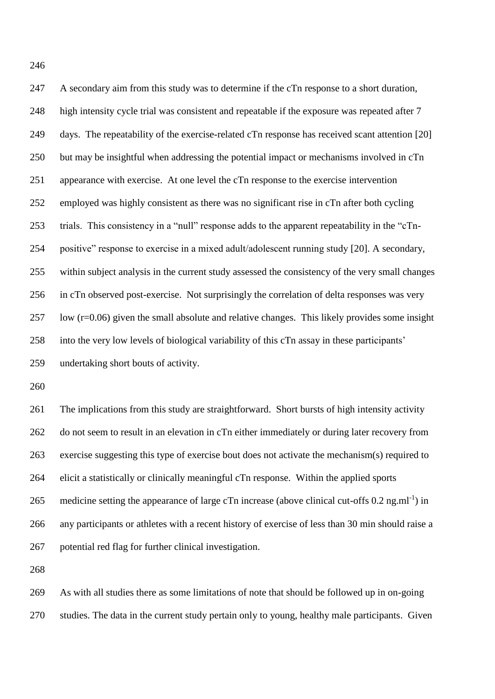A secondary aim from this study was to determine if the cTn response to a short duration, high intensity cycle trial was consistent and repeatable if the exposure was repeated after 7 days. The repeatability of the exercise-related cTn response has received scant attention [20] but may be insightful when addressing the potential impact or mechanisms involved in cTn appearance with exercise. At one level the cTn response to the exercise intervention employed was highly consistent as there was no significant rise in cTn after both cycling trials. This consistency in a "null" response adds to the apparent repeatability in the "cTn- positive" response to exercise in a mixed adult/adolescent running study [20]. A secondary, within subject analysis in the current study assessed the consistency of the very small changes in cTn observed post-exercise. Not surprisingly the correlation of delta responses was very low (r=0.06) given the small absolute and relative changes. This likely provides some insight into the very low levels of biological variability of this cTn assay in these participants' undertaking short bouts of activity.

 The implications from this study are straightforward. Short bursts of high intensity activity do not seem to result in an elevation in cTn either immediately or during later recovery from exercise suggesting this type of exercise bout does not activate the mechanism(s) required to elicit a statistically or clinically meaningful cTn response. Within the applied sports 265 medicine setting the appearance of large cTn increase (above clinical cut-offs 0.2 ng.ml<sup>-1</sup>) in any participants or athletes with a recent history of exercise of less than 30 min should raise a potential red flag for further clinical investigation.

 As with all studies there as some limitations of note that should be followed up in on-going studies. The data in the current study pertain only to young, healthy male participants. Given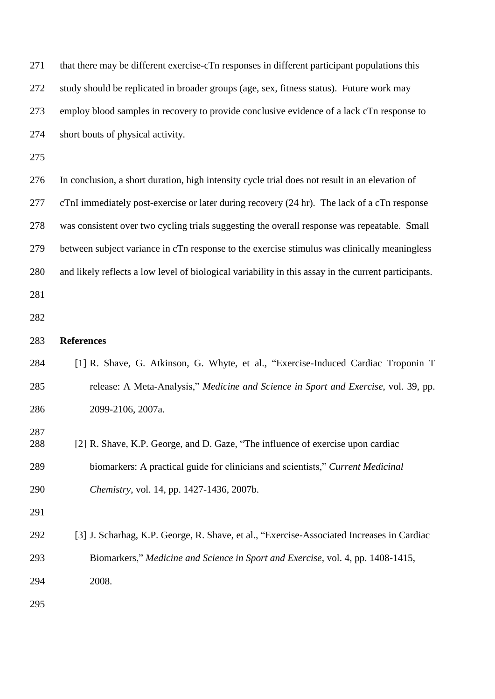| 271        | that there may be different exercise-cTn responses in different participant populations this         |
|------------|------------------------------------------------------------------------------------------------------|
| 272        | study should be replicated in broader groups (age, sex, fitness status). Future work may             |
| 273        | employ blood samples in recovery to provide conclusive evidence of a lack cTn response to            |
| 274        | short bouts of physical activity.                                                                    |
| 275        |                                                                                                      |
| 276        | In conclusion, a short duration, high intensity cycle trial does not result in an elevation of       |
| 277        | cTnI immediately post-exercise or later during recovery (24 hr). The lack of a cTn response          |
| 278        | was consistent over two cycling trials suggesting the overall response was repeatable. Small         |
| 279        | between subject variance in cTn response to the exercise stimulus was clinically meaningless         |
| 280        | and likely reflects a low level of biological variability in this assay in the current participants. |
| 281        |                                                                                                      |
| 282        |                                                                                                      |
| 283        | <b>References</b>                                                                                    |
| 284        | [1] R. Shave, G. Atkinson, G. Whyte, et al., "Exercise-Induced Cardiac Troponin T                    |
| 285        | release: A Meta-Analysis," Medicine and Science in Sport and Exercise, vol. 39, pp.                  |
| 286        | 2099-2106, 2007a.                                                                                    |
| 287<br>288 | [2] R. Shave, K.P. George, and D. Gaze, "The influence of exercise upon cardiac                      |
| 289        | biomarkers: A practical guide for clinicians and scientists," Current Medicinal                      |
| 290        | Chemistry, vol. 14, pp. 1427-1436, 2007b.                                                            |
| 291        |                                                                                                      |
| 292        | [3] J. Scharhag, K.P. George, R. Shave, et al., "Exercise-Associated Increases in Cardiac            |
| 293        | Biomarkers," Medicine and Science in Sport and Exercise, vol. 4, pp. 1408-1415,                      |
| 294        | 2008.                                                                                                |
| 205        |                                                                                                      |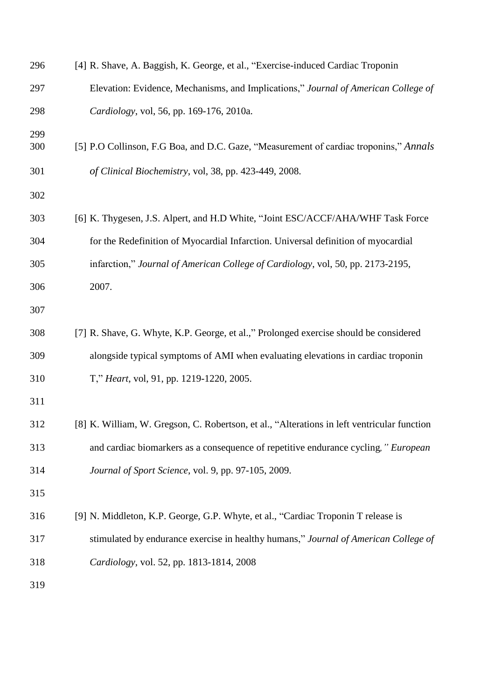| 296        | [4] R. Shave, A. Baggish, K. George, et al., "Exercise-induced Cardiac Troponin             |
|------------|---------------------------------------------------------------------------------------------|
| 297        | Elevation: Evidence, Mechanisms, and Implications," Journal of American College of          |
| 298        | Cardiology, vol, 56, pp. 169-176, 2010a.                                                    |
| 299<br>300 | [5] P.O Collinson, F.G Boa, and D.C. Gaze, "Measurement of cardiac troponins," Annals       |
| 301        | of Clinical Biochemistry, vol, 38, pp. 423-449, 2008.                                       |
| 302        |                                                                                             |
| 303        | [6] K. Thygesen, J.S. Alpert, and H.D White, "Joint ESC/ACCF/AHA/WHF Task Force             |
| 304        | for the Redefinition of Myocardial Infarction. Universal definition of myocardial           |
| 305        | infarction," Journal of American College of Cardiology, vol, 50, pp. 2173-2195,             |
| 306        | 2007.                                                                                       |
| 307        |                                                                                             |
| 308        | [7] R. Shave, G. Whyte, K.P. George, et al.," Prolonged exercise should be considered       |
| 309        | alongside typical symptoms of AMI when evaluating elevations in cardiac troponin            |
| 310        | T," Heart, vol, 91, pp. 1219-1220, 2005.                                                    |
| 311        |                                                                                             |
| 312        | [8] K. William, W. Gregson, C. Robertson, et al., "Alterations in left ventricular function |
| 313        | and cardiac biomarkers as a consequence of repetitive endurance cycling," European          |
| 314        | Journal of Sport Science, vol. 9, pp. 97-105, 2009.                                         |
| 315        |                                                                                             |
| 316        | [9] N. Middleton, K.P. George, G.P. Whyte, et al., "Cardiac Troponin T release is           |
| 317        | stimulated by endurance exercise in healthy humans," Journal of American College of         |
| 318        | Cardiology, vol. 52, pp. 1813-1814, 2008                                                    |
| 319        |                                                                                             |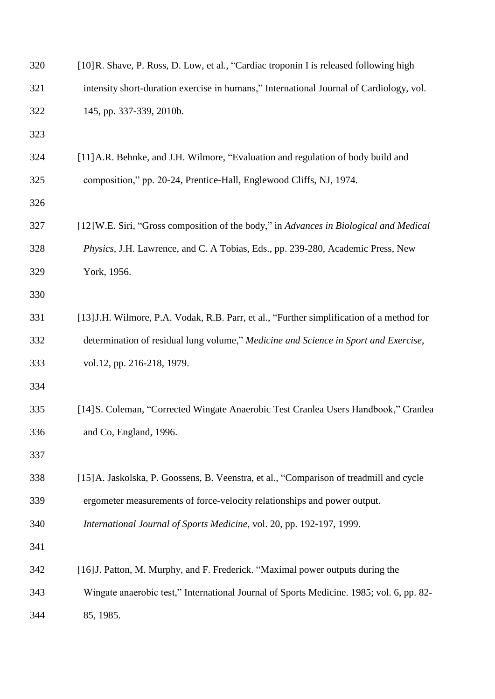| 320 | [10] R. Shave, P. Ross, D. Low, et al., "Cardiac troponin I is released following high    |
|-----|-------------------------------------------------------------------------------------------|
| 321 | intensity short-duration exercise in humans," International Journal of Cardiology, vol.   |
| 322 | 145, pp. 337-339, 2010b.                                                                  |
| 323 |                                                                                           |
| 324 | [11] A.R. Behnke, and J.H. Wilmore, "Evaluation and regulation of body build and          |
| 325 | composition," pp. 20-24, Prentice-Hall, Englewood Cliffs, NJ, 1974.                       |
| 326 |                                                                                           |
| 327 | [12] W.E. Siri, "Gross composition of the body," in Advances in Biological and Medical    |
| 328 | Physics, J.H. Lawrence, and C. A Tobias, Eds., pp. 239-280, Academic Press, New           |
| 329 | York, 1956.                                                                               |
| 330 |                                                                                           |
| 331 | [13] J.H. Wilmore, P.A. Vodak, R.B. Parr, et al., "Further simplification of a method for |
| 332 | determination of residual lung volume," Medicine and Science in Sport and Exercise,       |
| 333 | vol.12, pp. 216-218, 1979.                                                                |
| 334 |                                                                                           |
| 335 | [14] S. Coleman, "Corrected Wingate Anaerobic Test Cranlea Users Handbook," Cranlea       |
| 336 | and Co, England, 1996.                                                                    |
| 337 |                                                                                           |
| 338 | [15] A. Jaskolska, P. Goossens, B. Veenstra, et al., "Comparison of treadmill and cycle   |
| 339 | ergometer measurements of force-velocity relationships and power output.                  |
| 340 | International Journal of Sports Medicine, vol. 20, pp. 192-197, 1999.                     |
| 341 |                                                                                           |
| 342 | [16] J. Patton, M. Murphy, and F. Frederick. "Maximal power outputs during the            |
| 343 | Wingate anaerobic test," International Journal of Sports Medicine. 1985; vol. 6, pp. 82-  |
| 344 | 85, 1985.                                                                                 |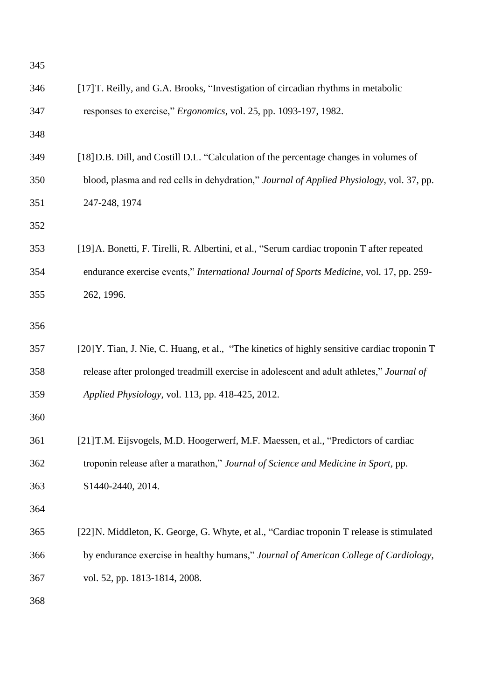| 345 |                                                                                              |
|-----|----------------------------------------------------------------------------------------------|
| 346 | [17] T. Reilly, and G.A. Brooks, "Investigation of circadian rhythms in metabolic            |
| 347 | responses to exercise," <i>Ergonomics</i> , vol. 25, pp. 1093-197, 1982.                     |
| 348 |                                                                                              |
| 349 | [18] D.B. Dill, and Costill D.L. "Calculation of the percentage changes in volumes of        |
| 350 | blood, plasma and red cells in dehydration," Journal of Applied Physiology, vol. 37, pp.     |
| 351 | 247-248, 1974                                                                                |
| 352 |                                                                                              |
| 353 | [19] A. Bonetti, F. Tirelli, R. Albertini, et al., "Serum cardiac troponin T after repeated  |
| 354 | endurance exercise events," International Journal of Sports Medicine, vol. 17, pp. 259-      |
| 355 | 262, 1996.                                                                                   |
| 356 |                                                                                              |
| 357 | [20] Y. Tian, J. Nie, C. Huang, et al., "The kinetics of highly sensitive cardiac troponin T |
| 358 | release after prolonged treadmill exercise in adolescent and adult athletes," Journal of     |
| 359 | Applied Physiology, vol. 113, pp. 418-425, 2012.                                             |
| 360 |                                                                                              |
| 361 | [21] T.M. Eijsvogels, M.D. Hoogerwerf, M.F. Maessen, et al., "Predictors of cardiac          |
| 362 | troponin release after a marathon," Journal of Science and Medicine in Sport, pp.            |
| 363 | S1440-2440, 2014.                                                                            |
| 364 |                                                                                              |
| 365 | [22] N. Middleton, K. George, G. Whyte, et al., "Cardiac troponin T release is stimulated    |
| 366 | by endurance exercise in healthy humans," Journal of American College of Cardiology,         |
| 367 | vol. 52, pp. 1813-1814, 2008.                                                                |
| 368 |                                                                                              |